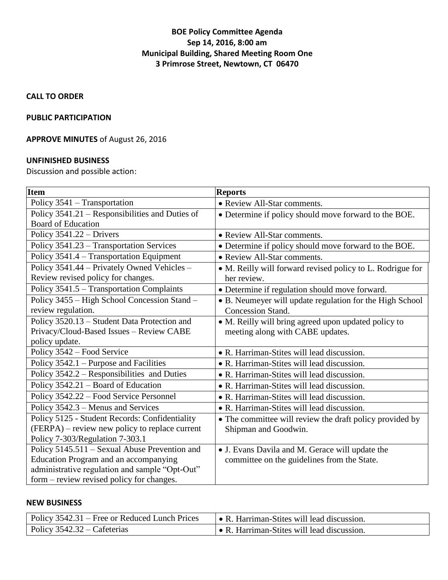### **BOE Policy Committee Agenda Sep 14, 2016, 8:00 am Municipal Building, Shared Meeting Room One 3 Primrose Street, Newtown, CT 06470**

**CALL TO ORDER**

### **PUBLIC PARTICIPATION**

# **APPROVE MINUTES** of August 26, 2016

### **UNFINISHED BUSINESS**

Discussion and possible action:

| <b>Item</b>                                     | <b>Reports</b>                                             |
|-------------------------------------------------|------------------------------------------------------------|
| Policy 3541 – Transportation                    | • Review All-Star comments.                                |
| Policy 3541.21 - Responsibilities and Duties of | • Determine if policy should move forward to the BOE.      |
| <b>Board of Education</b>                       |                                                            |
| Policy $3541.22 - Drivers$                      | • Review All-Star comments.                                |
| Policy 3541.23 - Transportation Services        | • Determine if policy should move forward to the BOE.      |
| Policy 3541.4 - Transportation Equipment        | • Review All-Star comments.                                |
| Policy 3541.44 – Privately Owned Vehicles –     | • M. Reilly will forward revised policy to L. Rodrigue for |
| Review revised policy for changes.              | her review.                                                |
| Policy 3541.5 - Transportation Complaints       | • Determine if regulation should move forward.             |
| Policy 3455 - High School Concession Stand -    | • B. Neumeyer will update regulation for the High School   |
| review regulation.                              | Concession Stand.                                          |
| Policy 3520.13 - Student Data Protection and    | • M. Reilly will bring agreed upon updated policy to       |
| Privacy/Cloud-Based Issues - Review CABE        | meeting along with CABE updates.                           |
| policy update.                                  |                                                            |
| Policy 3542 - Food Service                      | • R. Harriman-Stites will lead discussion.                 |
| Policy 3542.1 – Purpose and Facilities          | • R. Harriman-Stites will lead discussion.                 |
| Policy 3542.2 – Responsibilities and Duties     | • R. Harriman-Stites will lead discussion.                 |
| Policy 3542.21 - Board of Education             | • R. Harriman-Stites will lead discussion.                 |
| Policy 3542.22 - Food Service Personnel         | • R. Harriman-Stites will lead discussion.                 |
| Policy 3542.3 - Menus and Services              | • R. Harriman-Stites will lead discussion.                 |
| Policy 5125 - Student Records: Confidentiality  | • The committee will review the draft policy provided by   |
| (FERPA) – review new policy to replace current  | Shipman and Goodwin.                                       |
| Policy 7-303/Regulation 7-303.1                 |                                                            |
| Policy 5145.511 - Sexual Abuse Prevention and   | • J. Evans Davila and M. Gerace will update the            |
| Education Program and an accompanying           | committee on the guidelines from the State.                |
| administrative regulation and sample "Opt-Out"  |                                                            |
| form – review revised policy for changes.       |                                                            |

#### **NEW BUSINESS**

| Policy 3542.31 – Free or Reduced Lunch Prices | $\bullet$ R. Harriman-Stites will lead discussion. |
|-----------------------------------------------|----------------------------------------------------|
| $\vert$ Policy 3542.32 – Cafeterias           | $\bullet$ R. Harriman-Stites will lead discussion. |